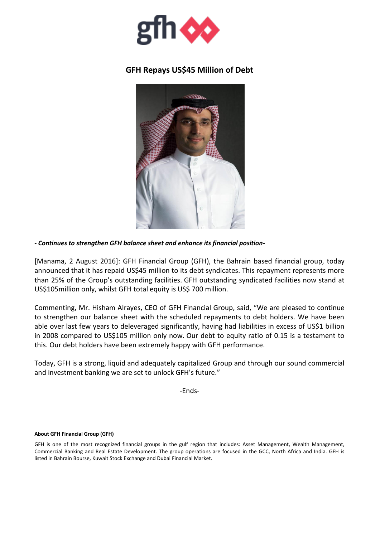

## **GFH Repays US\$45 Million of Debt**



*- Continues to strengthen GFH balance sheet and enhance its financial position-*

[Manama, 2 August 2016]: GFH Financial Group (GFH), the Bahrain based financial group, today announced that it has repaid US\$45 million to its debt syndicates. This repayment represents more than 25% of the Group's outstanding facilities. GFH outstanding syndicated facilities now stand at US\$105million only, whilst GFH total equity is US\$ 700 million.

Commenting, Mr. Hisham Alrayes, CEO of GFH Financial Group, said, "We are pleased to continue to strengthen our balance sheet with the scheduled repayments to debt holders. We have been able over last few years to deleveraged significantly, having had liabilities in excess of US\$1 billion in 2008 compared to US\$105 million only now. Our debt to equity ratio of 0.15 is a testament to this. Our debt holders have been extremely happy with GFH performance.

Today, GFH is a strong, liquid and adequately capitalized Group and through our sound commercial and investment banking we are set to unlock GFH's future."

-Ends-

## **About GFH Financial Group (GFH)**

GFH is one of the most recognized financial groups in the gulf region that includes: Asset Management, Wealth Management, Commercial Banking and Real Estate Development. The group operations are focused in the GCC, North Africa and India. GFH is listed in Bahrain Bourse, Kuwait Stock Exchange and Dubai Financial Market.